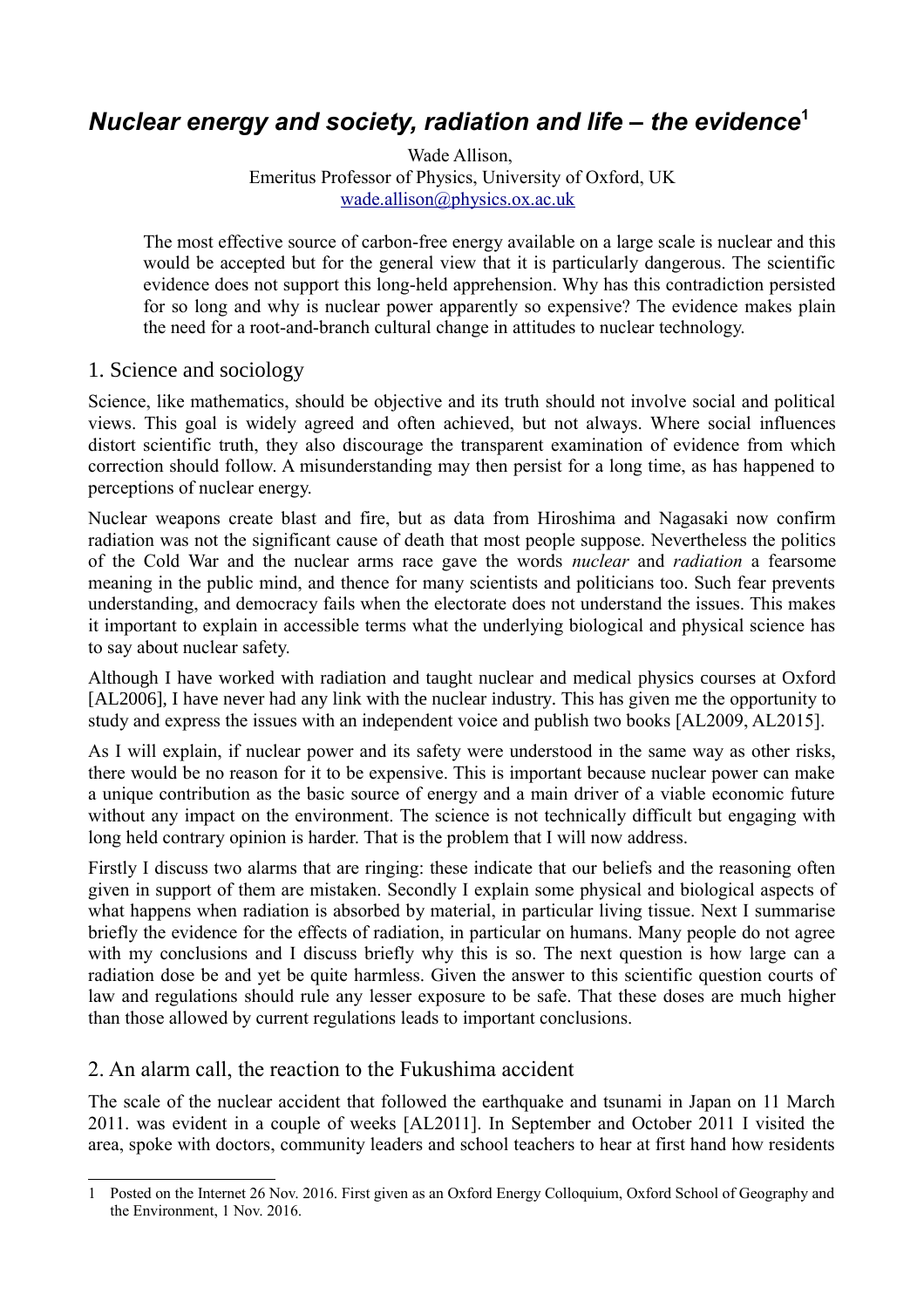# *Nuclear energy and society, radiation and life – the evidence***[1](#page-0-0)**

Wade Allison, Emeritus Professor of Physics, University of Oxford, UK [wade.allison@physics.ox.ac.uk](mailto:wade.allison@physics.ox.ac.uk) 

The most effective source of carbon-free energy available on a large scale is nuclear and this would be accepted but for the general view that it is particularly dangerous. The scientific evidence does not support this long-held apprehension. Why has this contradiction persisted for so long and why is nuclear power apparently so expensive? The evidence makes plain the need for a root-and-branch cultural change in attitudes to nuclear technology.

#### 1. Science and sociology

Science, like mathematics, should be objective and its truth should not involve social and political views. This goal is widely agreed and often achieved, but not always. Where social influences distort scientific truth, they also discourage the transparent examination of evidence from which correction should follow. A misunderstanding may then persist for a long time, as has happened to perceptions of nuclear energy.

Nuclear weapons create blast and fire, but as data from Hiroshima and Nagasaki now confirm radiation was not the significant cause of death that most people suppose. Nevertheless the politics of the Cold War and the nuclear arms race gave the words *nuclear* and *radiation* a fearsome meaning in the public mind, and thence for many scientists and politicians too. Such fear prevents understanding, and democracy fails when the electorate does not understand the issues. This makes it important to explain in accessible terms what the underlying biological and physical science has to say about nuclear safety.

Although I have worked with radiation and taught nuclear and medical physics courses at Oxford [AL2006], I have never had any link with the nuclear industry. This has given me the opportunity to study and express the issues with an independent voice and publish two books [AL2009, AL2015].

As I will explain, if nuclear power and its safety were understood in the same way as other risks, there would be no reason for it to be expensive. This is important because nuclear power can make a unique contribution as the basic source of energy and a main driver of a viable economic future without any impact on the environment. The science is not technically difficult but engaging with long held contrary opinion is harder. That is the problem that I will now address.

Firstly I discuss two alarms that are ringing: these indicate that our beliefs and the reasoning often given in support of them are mistaken. Secondly I explain some physical and biological aspects of what happens when radiation is absorbed by material, in particular living tissue. Next I summarise briefly the evidence for the effects of radiation, in particular on humans. Many people do not agree with my conclusions and I discuss briefly why this is so. The next question is how large can a radiation dose be and yet be quite harmless. Given the answer to this scientific question courts of law and regulations should rule any lesser exposure to be safe. That these doses are much higher than those allowed by current regulations leads to important conclusions.

## 2. An alarm call, the reaction to the Fukushima accident

The scale of the nuclear accident that followed the earthquake and tsunami in Japan on 11 March 2011. was evident in a couple of weeks [AL2011]. In September and October 2011 I visited the area, spoke with doctors, community leaders and school teachers to hear at first hand how residents

<span id="page-0-0"></span><sup>1</sup> Posted on the Internet 26 Nov. 2016. First given as an Oxford Energy Colloquium, Oxford School of Geography and the Environment, 1 Nov. 2016.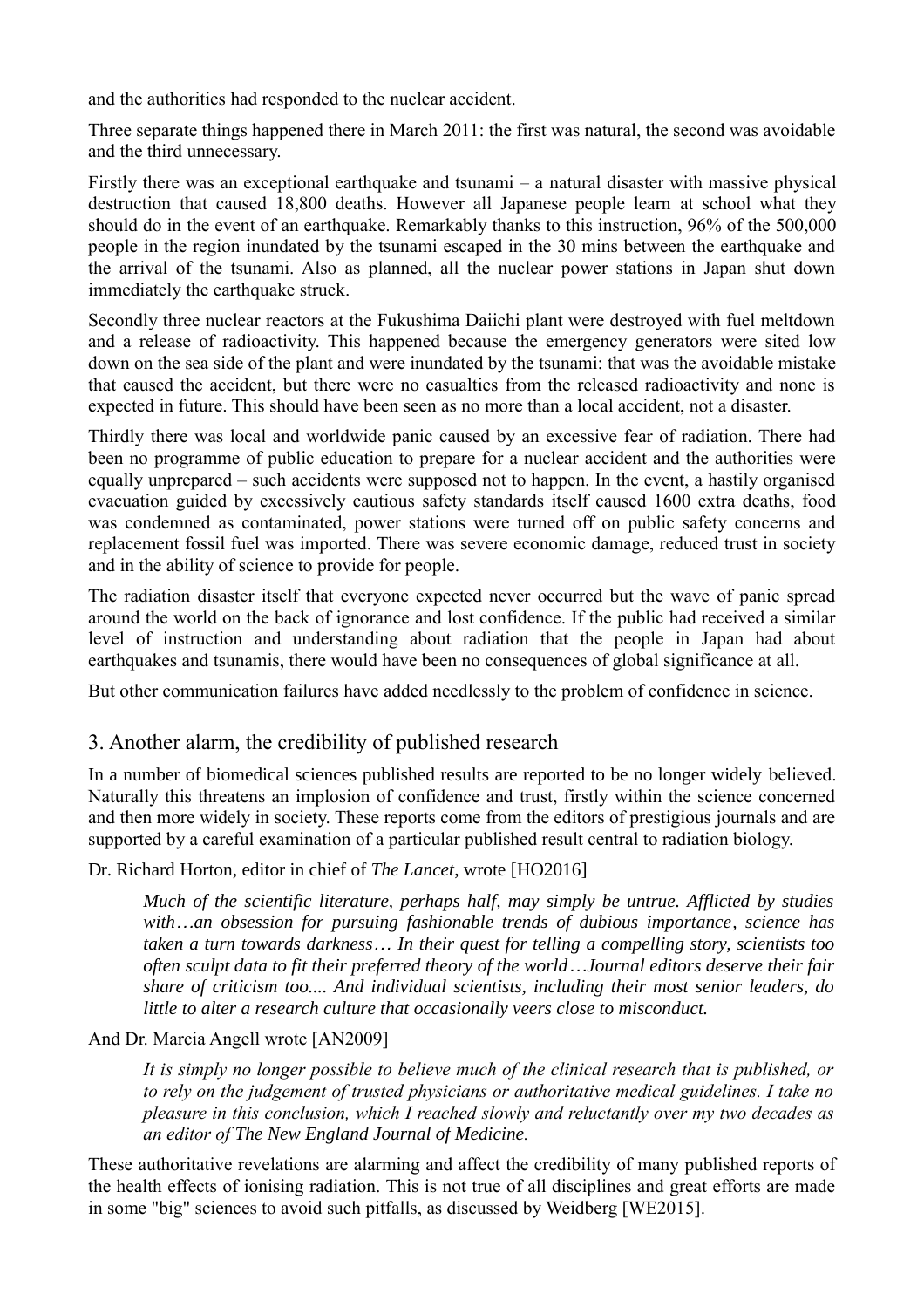and the authorities had responded to the nuclear accident.

Three separate things happened there in March 2011: the first was natural, the second was avoidable and the third unnecessary.

Firstly there was an exceptional earthquake and tsunami – a natural disaster with massive physical destruction that caused 18,800 deaths. However all Japanese people learn at school what they should do in the event of an earthquake. Remarkably thanks to this instruction, 96% of the 500,000 people in the region inundated by the tsunami escaped in the 30 mins between the earthquake and the arrival of the tsunami. Also as planned, all the nuclear power stations in Japan shut down immediately the earthquake struck.

Secondly three nuclear reactors at the Fukushima Daiichi plant were destroyed with fuel meltdown and a release of radioactivity. This happened because the emergency generators were sited low down on the sea side of the plant and were inundated by the tsunami: that was the avoidable mistake that caused the accident, but there were no casualties from the released radioactivity and none is expected in future. This should have been seen as no more than a local accident, not a disaster.

Thirdly there was local and worldwide panic caused by an excessive fear of radiation. There had been no programme of public education to prepare for a nuclear accident and the authorities were equally unprepared – such accidents were supposed not to happen. In the event, a hastily organised evacuation guided by excessively cautious safety standards itself caused 1600 extra deaths, food was condemned as contaminated, power stations were turned off on public safety concerns and replacement fossil fuel was imported. There was severe economic damage, reduced trust in society and in the ability of science to provide for people.

The radiation disaster itself that everyone expected never occurred but the wave of panic spread around the world on the back of ignorance and lost confidence. If the public had received a similar level of instruction and understanding about radiation that the people in Japan had about earthquakes and tsunamis, there would have been no consequences of global significance at all.

But other communication failures have added needlessly to the problem of confidence in science.

## 3. Another alarm, the credibility of published research

In a number of biomedical sciences published results are reported to be no longer widely believed. Naturally this threatens an implosion of confidence and trust, firstly within the science concerned and then more widely in society. These reports come from the editors of prestigious journals and are supported by a careful examination of a particular published result central to radiation biology.

#### Dr. Richard Horton, editor in chief of *The Lancet*, wrote [HO2016]

*Much of the scientific literature, perhaps half, may simply be untrue. Afflicted by studies with…an obsession for pursuing fashionable trends of dubious importance, science has taken a turn towards darkness… In their quest for telling a compelling story, scientists too often sculpt data to fit their preferred theory of the world…Journal editors deserve their fair share of criticism too.... And individual scientists, including their most senior leaders, do little to alter a research culture that occasionally veers close to misconduct.*

#### And Dr. Marcia Angell wrote [AN2009]

*It is simply no longer possible to believe much of the clinical research that is published, or to rely on the judgement of trusted physicians or authoritative medical guidelines. I take no pleasure in this conclusion, which I reached slowly and reluctantly over my two decades as an editor of The New England Journal of Medicine.*

These authoritative revelations are alarming and affect the credibility of many published reports of the health effects of ionising radiation. This is not true of all disciplines and great efforts are made in some "big" sciences to avoid such pitfalls, as discussed by Weidberg [WE2015].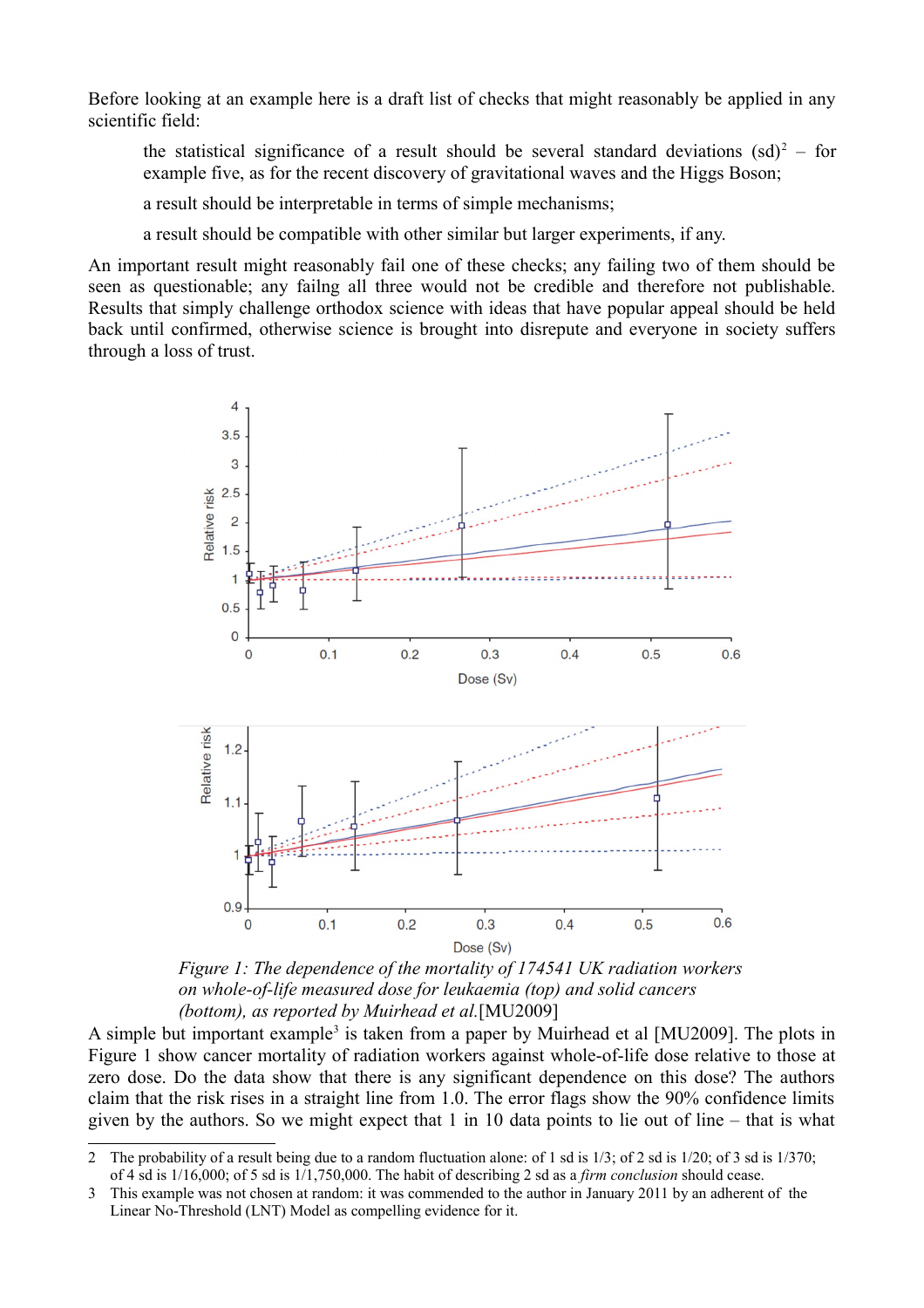Before looking at an example here is a draft list of checks that might reasonably be applied in any scientific field:

the statistical significance of a result should be several standard deviations  $(sd)^2$  $(sd)^2$  – for example five, as for the recent discovery of gravitational waves and the Higgs Boson;

a result should be interpretable in terms of simple mechanisms;

a result should be compatible with other similar but larger experiments, if any.

An important result might reasonably fail one of these checks; any failing two of them should be seen as questionable; any failng all three would not be credible and therefore not publishable. Results that simply challenge orthodox science with ideas that have popular appeal should be held back until confirmed, otherwise science is brought into disrepute and everyone in society suffers through a loss of trust.



*Figure 1: The dependence of the mortality of 174541 UK radiation workers on whole-of-life measured dose for leukaemia (top) and solid cancers (bottom), as reported by Muirhead et al.*[MU2009]

A simple but important example<sup>[3](#page-2-1)</sup> is taken from a paper by Muirhead et al [MU2009]. The plots in Figure 1 show cancer mortality of radiation workers against whole-of-life dose relative to those at zero dose. Do the data show that there is any significant dependence on this dose? The authors claim that the risk rises in a straight line from 1.0. The error flags show the 90% confidence limits given by the authors. So we might expect that 1 in 10 data points to lie out of line – that is what

<span id="page-2-0"></span><sup>2</sup> The probability of a result being due to a random fluctuation alone: of 1 sd is 1/3; of 2 sd is 1/20; of 3 sd is 1/370; of 4 sd is 1/16,000; of 5 sd is 1/1,750,000. The habit of describing 2 sd as a *firm conclusion* should cease.

<span id="page-2-1"></span><sup>3</sup> This example was not chosen at random: it was commended to the author in January 2011 by an adherent of the Linear No-Threshold (LNT) Model as compelling evidence for it.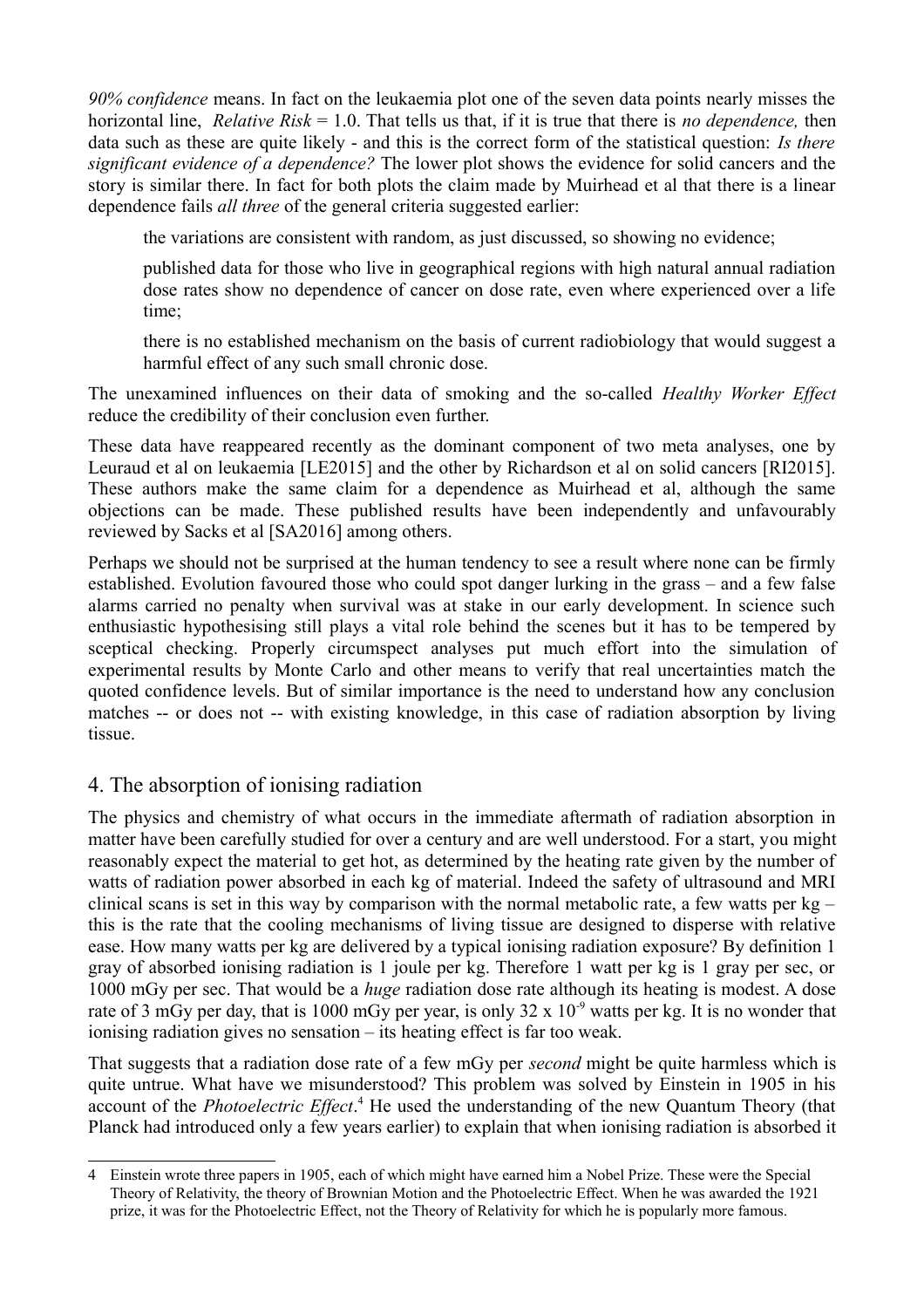*90% confidence* means. In fact on the leukaemia plot one of the seven data points nearly misses the horizontal line, *Relative Risk* = 1.0. That tells us that, if it is true that there is *no dependence,* then data such as these are quite likely - and this is the correct form of the statistical question: *Is there significant evidence of a dependence?* The lower plot shows the evidence for solid cancers and the story is similar there. In fact for both plots the claim made by Muirhead et al that there is a linear dependence fails *all three* of the general criteria suggested earlier:

the variations are consistent with random, as just discussed, so showing no evidence;

published data for those who live in geographical regions with high natural annual radiation dose rates show no dependence of cancer on dose rate, even where experienced over a life time;

there is no established mechanism on the basis of current radiobiology that would suggest a harmful effect of any such small chronic dose.

The unexamined influences on their data of smoking and the so-called *Healthy Worker Effect* reduce the credibility of their conclusion even further.

These data have reappeared recently as the dominant component of two meta analyses, one by Leuraud et al on leukaemia [LE2015] and the other by Richardson et al on solid cancers [RI2015]. These authors make the same claim for a dependence as Muirhead et al, although the same objections can be made. These published results have been independently and unfavourably reviewed by Sacks et al [SA2016] among others.

Perhaps we should not be surprised at the human tendency to see a result where none can be firmly established. Evolution favoured those who could spot danger lurking in the grass – and a few false alarms carried no penalty when survival was at stake in our early development. In science such enthusiastic hypothesising still plays a vital role behind the scenes but it has to be tempered by sceptical checking. Properly circumspect analyses put much effort into the simulation of experimental results by Monte Carlo and other means to verify that real uncertainties match the quoted confidence levels. But of similar importance is the need to understand how any conclusion matches -- or does not -- with existing knowledge, in this case of radiation absorption by living tissue.

## 4. The absorption of ionising radiation

The physics and chemistry of what occurs in the immediate aftermath of radiation absorption in matter have been carefully studied for over a century and are well understood. For a start, you might reasonably expect the material to get hot, as determined by the heating rate given by the number of watts of radiation power absorbed in each kg of material. Indeed the safety of ultrasound and MRI clinical scans is set in this way by comparison with the normal metabolic rate, a few watts per  $kg$ this is the rate that the cooling mechanisms of living tissue are designed to disperse with relative ease. How many watts per kg are delivered by a typical ionising radiation exposure? By definition 1 gray of absorbed ionising radiation is 1 joule per kg. Therefore 1 watt per kg is 1 gray per sec, or 1000 mGy per sec. That would be a *huge* radiation dose rate although its heating is modest. A dose rate of 3 mGy per day, that is 1000 mGy per year, is only  $32 \times 10^{-9}$  watts per kg. It is no wonder that ionising radiation gives no sensation – its heating effect is far too weak.

That suggests that a radiation dose rate of a few mGy per *second* might be quite harmless which is quite untrue. What have we misunderstood? This problem was solved by Einstein in 1905 in his account of the *Photoelectric Effect*.<sup>[4](#page-3-0)</sup> He used the understanding of the new Quantum Theory (that Planck had introduced only a few years earlier) to explain that when ionising radiation is absorbed it

<span id="page-3-0"></span><sup>4</sup> Einstein wrote three papers in 1905, each of which might have earned him a Nobel Prize. These were the Special Theory of Relativity, the theory of Brownian Motion and the Photoelectric Effect. When he was awarded the 1921 prize, it was for the Photoelectric Effect, not the Theory of Relativity for which he is popularly more famous.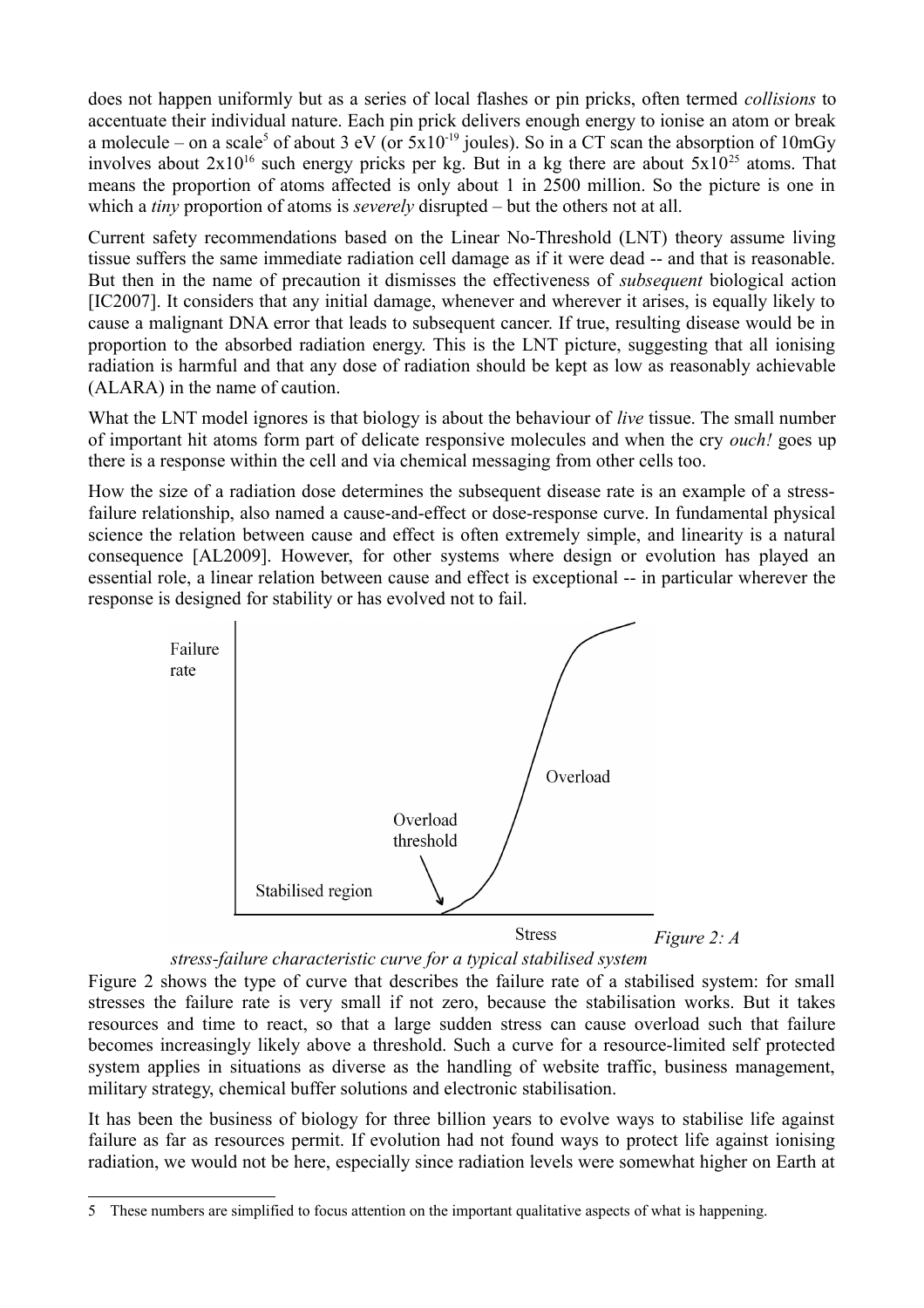does not happen uniformly but as a series of local flashes or pin pricks, often termed *collisions* to accentuate their individual nature. Each pin prick delivers enough energy to ionise an atom or break a molecule – on a scale<sup>[5](#page-4-0)</sup> of about 3 eV (or  $5x10^{-19}$  joules). So in a CT scan the absorption of 10mGy involves about  $2x10^{16}$  such energy pricks per kg. But in a kg there are about  $5x10^{25}$  atoms. That means the proportion of atoms affected is only about 1 in 2500 million. So the picture is one in which a *tiny* proportion of atoms is *severely* disrupted – but the others not at all.

Current safety recommendations based on the Linear No-Threshold (LNT) theory assume living tissue suffers the same immediate radiation cell damage as if it were dead -- and that is reasonable. But then in the name of precaution it dismisses the effectiveness of *subsequent* biological action [IC2007]. It considers that any initial damage, whenever and wherever it arises, is equally likely to cause a malignant DNA error that leads to subsequent cancer. If true, resulting disease would be in proportion to the absorbed radiation energy. This is the LNT picture, suggesting that all ionising radiation is harmful and that any dose of radiation should be kept as low as reasonably achievable (ALARA) in the name of caution.

What the LNT model ignores is that biology is about the behaviour of *live* tissue. The small number of important hit atoms form part of delicate responsive molecules and when the cry *ouch!* goes up there is a response within the cell and via chemical messaging from other cells too.

How the size of a radiation dose determines the subsequent disease rate is an example of a stressfailure relationship, also named a cause-and-effect or dose-response curve. In fundamental physical science the relation between cause and effect is often extremely simple, and linearity is a natural consequence [AL2009]. However, for other systems where design or evolution has played an essential role, a linear relation between cause and effect is exceptional -- in particular wherever the response is designed for stability or has evolved not to fail.



*stress-failure characteristic curve for a typical stabilised system*

Figure 2 shows the type of curve that describes the failure rate of a stabilised system: for small stresses the failure rate is very small if not zero, because the stabilisation works. But it takes resources and time to react, so that a large sudden stress can cause overload such that failure becomes increasingly likely above a threshold. Such a curve for a resource-limited self protected system applies in situations as diverse as the handling of website traffic, business management, military strategy, chemical buffer solutions and electronic stabilisation.

It has been the business of biology for three billion years to evolve ways to stabilise life against failure as far as resources permit. If evolution had not found ways to protect life against ionising radiation, we would not be here, especially since radiation levels were somewhat higher on Earth at

<span id="page-4-0"></span><sup>5</sup> These numbers are simplified to focus attention on the important qualitative aspects of what is happening.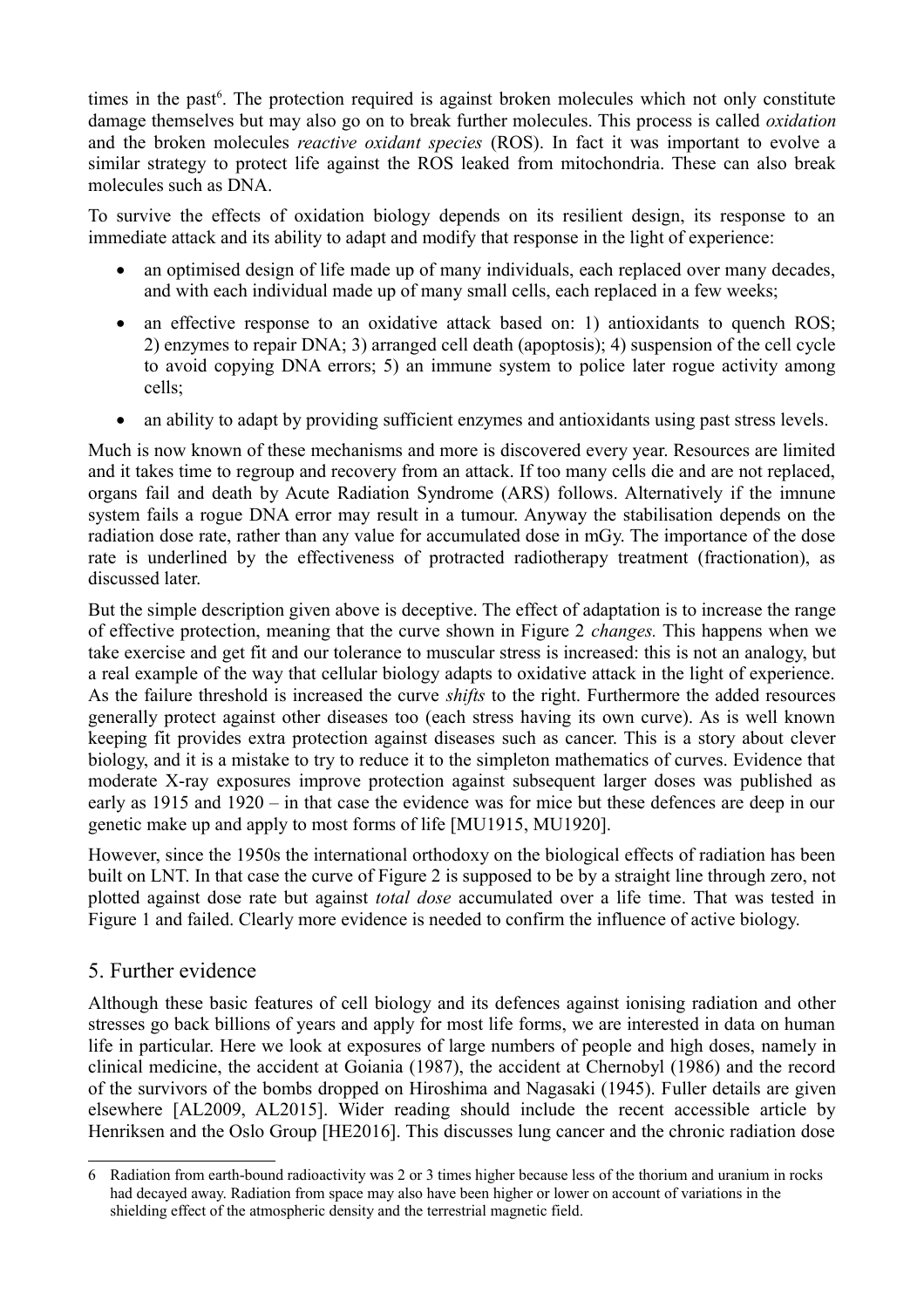times in the past<sup>[6](#page-5-0)</sup>. The protection required is against broken molecules which not only constitute damage themselves but may also go on to break further molecules. This process is called *oxidation* and the broken molecules *reactive oxidant species* (ROS). In fact it was important to evolve a similar strategy to protect life against the ROS leaked from mitochondria. These can also break molecules such as DNA.

To survive the effects of oxidation biology depends on its resilient design, its response to an immediate attack and its ability to adapt and modify that response in the light of experience:

- an optimised design of life made up of many individuals, each replaced over many decades, and with each individual made up of many small cells, each replaced in a few weeks;
- an effective response to an oxidative attack based on: 1) antioxidants to quench ROS; 2) enzymes to repair DNA; 3) arranged cell death (apoptosis); 4) suspension of the cell cycle to avoid copying DNA errors; 5) an immune system to police later rogue activity among cells;
- an ability to adapt by providing sufficient enzymes and antioxidants using past stress levels.

Much is now known of these mechanisms and more is discovered every year. Resources are limited and it takes time to regroup and recovery from an attack. If too many cells die and are not replaced, organs fail and death by Acute Radiation Syndrome (ARS) follows. Alternatively if the imnune system fails a rogue DNA error may result in a tumour. Anyway the stabilisation depends on the radiation dose rate, rather than any value for accumulated dose in mGy. The importance of the dose rate is underlined by the effectiveness of protracted radiotherapy treatment (fractionation), as discussed later.

But the simple description given above is deceptive. The effect of adaptation is to increase the range of effective protection, meaning that the curve shown in Figure 2 *changes.* This happens when we take exercise and get fit and our tolerance to muscular stress is increased: this is not an analogy, but a real example of the way that cellular biology adapts to oxidative attack in the light of experience. As the failure threshold is increased the curve *shifts* to the right. Furthermore the added resources generally protect against other diseases too (each stress having its own curve). As is well known keeping fit provides extra protection against diseases such as cancer. This is a story about clever biology, and it is a mistake to try to reduce it to the simpleton mathematics of curves. Evidence that moderate X-ray exposures improve protection against subsequent larger doses was published as early as 1915 and 1920 – in that case the evidence was for mice but these defences are deep in our genetic make up and apply to most forms of life [MU1915, MU1920].

However, since the 1950s the international orthodoxy on the biological effects of radiation has been built on LNT. In that case the curve of Figure 2 is supposed to be by a straight line through zero, not plotted against dose rate but against *total dose* accumulated over a life time. That was tested in Figure 1 and failed. Clearly more evidence is needed to confirm the influence of active biology.

## 5. Further evidence

Although these basic features of cell biology and its defences against ionising radiation and other stresses go back billions of years and apply for most life forms, we are interested in data on human life in particular. Here we look at exposures of large numbers of people and high doses, namely in clinical medicine, the accident at Goiania (1987), the accident at Chernobyl (1986) and the record of the survivors of the bombs dropped on Hiroshima and Nagasaki (1945). Fuller details are given elsewhere [AL2009, AL2015]. Wider reading should include the recent accessible article by Henriksen and the Oslo Group [HE2016]. This discusses lung cancer and the chronic radiation dose

<span id="page-5-0"></span><sup>6</sup> Radiation from earth-bound radioactivity was 2 or 3 times higher because less of the thorium and uranium in rocks had decayed away. Radiation from space may also have been higher or lower on account of variations in the shielding effect of the atmospheric density and the terrestrial magnetic field.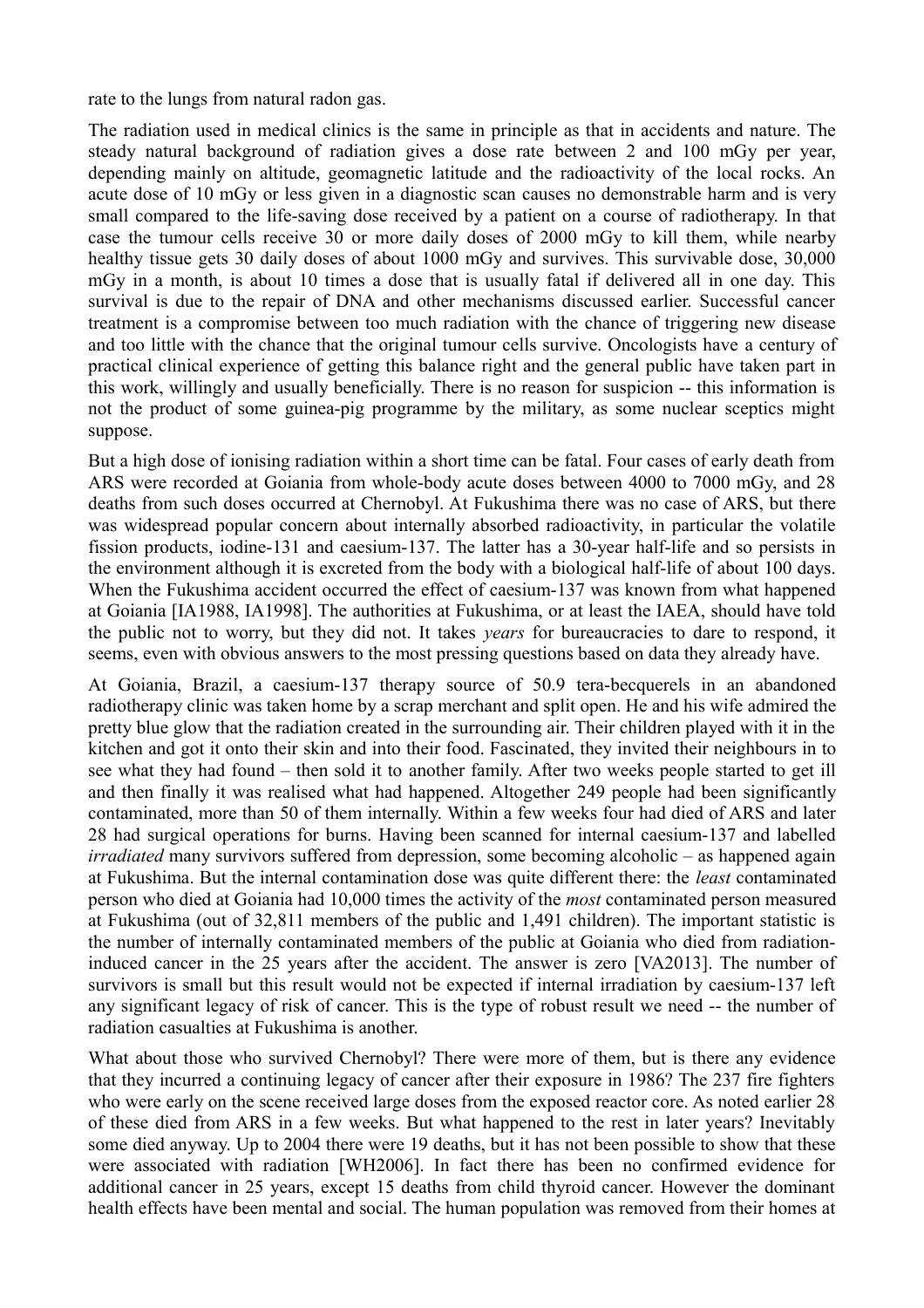rate to the lungs from natural radon gas.

The radiation used in medical clinics is the same in principle as that in accidents and nature. The steady natural background of radiation gives a dose rate between 2 and 100 mGy per year, depending mainly on altitude, geomagnetic latitude and the radioactivity of the local rocks. An acute dose of 10 mGy or less given in a diagnostic scan causes no demonstrable harm and is very small compared to the life-saving dose received by a patient on a course of radiotherapy. In that case the tumour cells receive 30 or more daily doses of 2000 mGy to kill them, while nearby healthy tissue gets 30 daily doses of about 1000 mGy and survives. This survivable dose, 30,000 mGy in a month, is about 10 times a dose that is usually fatal if delivered all in one day. This survival is due to the repair of DNA and other mechanisms discussed earlier. Successful cancer treatment is a compromise between too much radiation with the chance of triggering new disease and too little with the chance that the original tumour cells survive. Oncologists have a century of practical clinical experience of getting this balance right and the general public have taken part in this work, willingly and usually beneficially. There is no reason for suspicion -- this information is not the product of some guinea-pig programme by the military, as some nuclear sceptics might suppose.

But a high dose of ionising radiation within a short time can be fatal. Four cases of early death from ARS were recorded at Goiania from whole-body acute doses between 4000 to 7000 mGy, and 28 deaths from such doses occurred at Chernobyl. At Fukushima there was no case of ARS, but there was widespread popular concern about internally absorbed radioactivity, in particular the volatile fission products, iodine-131 and caesium-137. The latter has a 30-year half-life and so persists in the environment although it is excreted from the body with a biological half-life of about 100 days. When the Fukushima accident occurred the effect of caesium-137 was known from what happened at Goiania [IA1988, IA1998]. The authorities at Fukushima, or at least the IAEA, should have told the public not to worry, but they did not. It takes *years* for bureaucracies to dare to respond, it seems, even with obvious answers to the most pressing questions based on data they already have.

At Goiania, Brazil, a caesium-137 therapy source of 50.9 tera-becquerels in an abandoned radiotherapy clinic was taken home by a scrap merchant and split open. He and his wife admired the pretty blue glow that the radiation created in the surrounding air. Their children played with it in the kitchen and got it onto their skin and into their food. Fascinated, they invited their neighbours in to see what they had found – then sold it to another family. After two weeks people started to get ill and then finally it was realised what had happened. Altogether 249 people had been significantly contaminated, more than 50 of them internally. Within a few weeks four had died of ARS and later 28 had surgical operations for burns. Having been scanned for internal caesium-137 and labelled *irradiated* many survivors suffered from depression, some becoming alcoholic – as happened again at Fukushima. But the internal contamination dose was quite different there: the *least* contaminated person who died at Goiania had 10,000 times the activity of the *most* contaminated person measured at Fukushima (out of 32,811 members of the public and 1,491 children). The important statistic is the number of internally contaminated members of the public at Goiania who died from radiationinduced cancer in the 25 years after the accident. The answer is zero [VA2013]. The number of survivors is small but this result would not be expected if internal irradiation by caesium-137 left any significant legacy of risk of cancer. This is the type of robust result we need -- the number of radiation casualties at Fukushima is another.

What about those who survived Chernobyl? There were more of them, but is there any evidence that they incurred a continuing legacy of cancer after their exposure in 1986? The 237 fire fighters who were early on the scene received large doses from the exposed reactor core. As noted earlier 28 of these died from ARS in a few weeks. But what happened to the rest in later years? Inevitably some died anyway. Up to 2004 there were 19 deaths, but it has not been possible to show that these were associated with radiation [WH2006]. In fact there has been no confirmed evidence for additional cancer in 25 years, except 15 deaths from child thyroid cancer. However the dominant health effects have been mental and social. The human population was removed from their homes at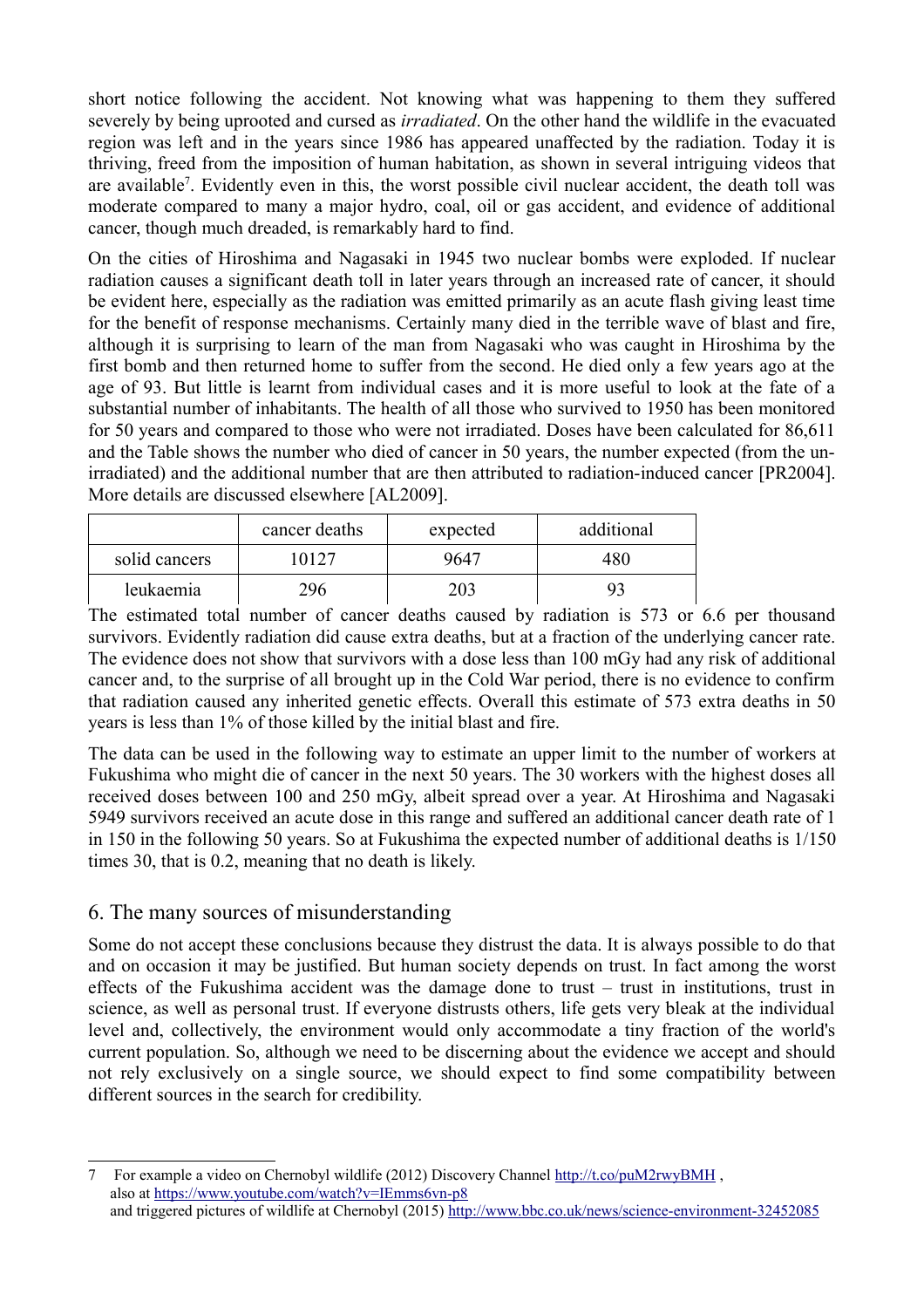short notice following the accident. Not knowing what was happening to them they suffered severely by being uprooted and cursed as *irradiated*. On the other hand the wildlife in the evacuated region was left and in the years since 1986 has appeared unaffected by the radiation. Today it is thriving, freed from the imposition of human habitation, as shown in several intriguing videos that are available<sup>[7](#page-7-0)</sup>. Evidently even in this, the worst possible civil nuclear accident, the death toll was moderate compared to many a major hydro, coal, oil or gas accident, and evidence of additional cancer, though much dreaded, is remarkably hard to find.

On the cities of Hiroshima and Nagasaki in 1945 two nuclear bombs were exploded. If nuclear radiation causes a significant death toll in later years through an increased rate of cancer, it should be evident here, especially as the radiation was emitted primarily as an acute flash giving least time for the benefit of response mechanisms. Certainly many died in the terrible wave of blast and fire, although it is surprising to learn of the man from Nagasaki who was caught in Hiroshima by the first bomb and then returned home to suffer from the second. He died only a few years ago at the age of 93. But little is learnt from individual cases and it is more useful to look at the fate of a substantial number of inhabitants. The health of all those who survived to 1950 has been monitored for 50 years and compared to those who were not irradiated. Doses have been calculated for 86,611 and the Table shows the number who died of cancer in 50 years, the number expected (from the unirradiated) and the additional number that are then attributed to radiation-induced cancer [PR2004]. More details are discussed elsewhere [AL2009].

|               | cancer deaths | expected | additional |
|---------------|---------------|----------|------------|
| solid cancers | 10127         | 9647     | 480        |
| leukaemia     | 296           | 203      |            |

The estimated total number of cancer deaths caused by radiation is 573 or 6.6 per thousand survivors. Evidently radiation did cause extra deaths, but at a fraction of the underlying cancer rate. The evidence does not show that survivors with a dose less than 100 mGy had any risk of additional cancer and, to the surprise of all brought up in the Cold War period, there is no evidence to confirm that radiation caused any inherited genetic effects. Overall this estimate of 573 extra deaths in 50 years is less than 1% of those killed by the initial blast and fire.

The data can be used in the following way to estimate an upper limit to the number of workers at Fukushima who might die of cancer in the next 50 years. The 30 workers with the highest doses all received doses between 100 and 250 mGy, albeit spread over a year. At Hiroshima and Nagasaki 5949 survivors received an acute dose in this range and suffered an additional cancer death rate of 1 in 150 in the following 50 years. So at Fukushima the expected number of additional deaths is 1/150 times 30, that is 0.2, meaning that no death is likely.

## 6. The many sources of misunderstanding

Some do not accept these conclusions because they distrust the data. It is always possible to do that and on occasion it may be justified. But human society depends on trust. In fact among the worst effects of the Fukushima accident was the damage done to trust – trust in institutions, trust in science, as well as personal trust. If everyone distrusts others, life gets very bleak at the individual level and, collectively, the environment would only accommodate a tiny fraction of the world's current population. So, although we need to be discerning about the evidence we accept and should not rely exclusively on a single source, we should expect to find some compatibility between different sources in the search for credibility.

<span id="page-7-0"></span><sup>7</sup> For example a video on Chernobyl wildlife (2012) Discovery Channel<http://t.co/puM2rwyBMH> , also at<https://www.youtube.com/watch?v=IEmms6vn-p8> and triggered pictures of wildlife at Chernobyl (2015)<http://www.bbc.co.uk/news/science-environment-32452085>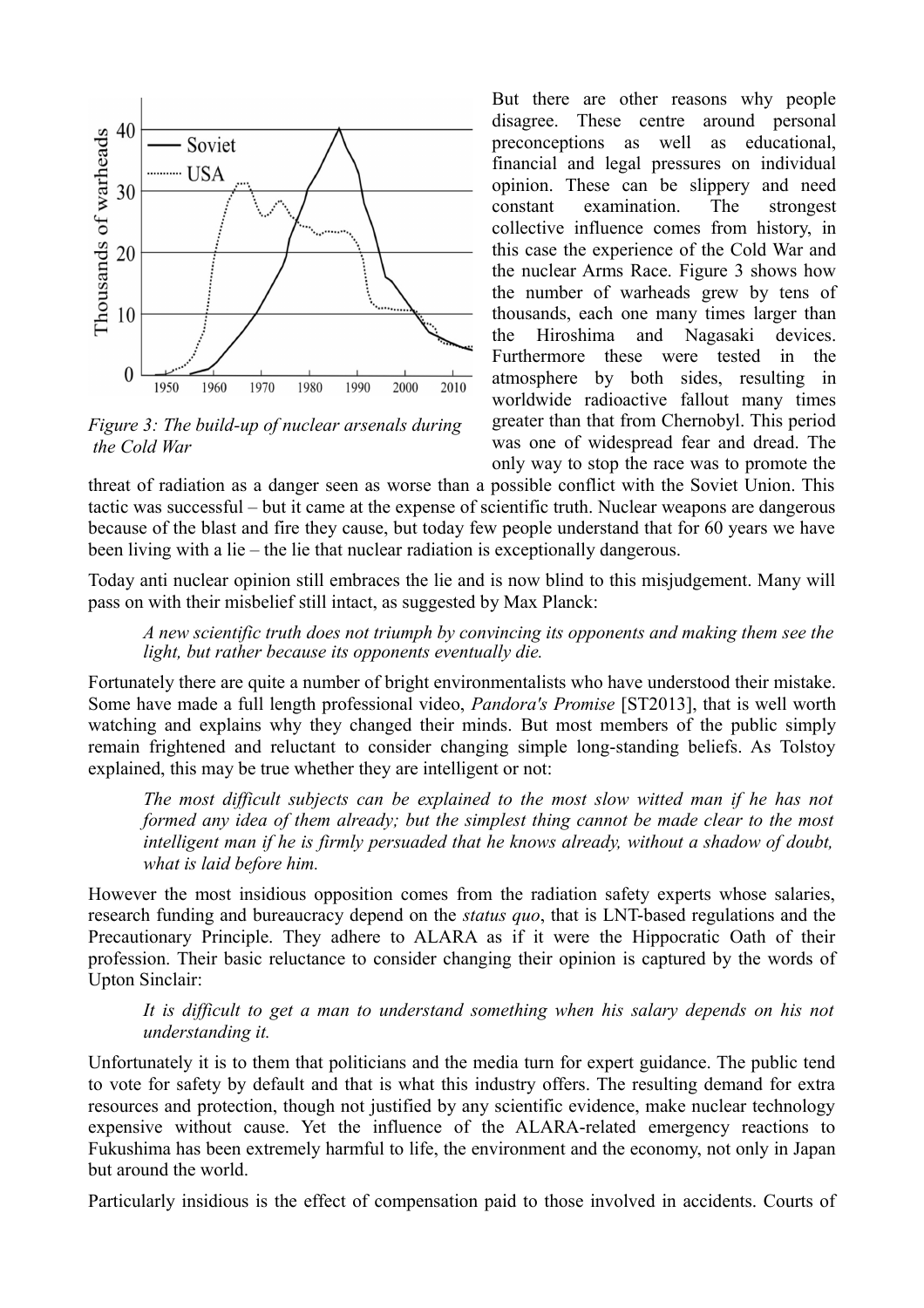

*Figure 3: The build-up of nuclear arsenals during the Cold War*

But there are other reasons why people disagree. These centre around personal preconceptions as well as educational, financial and legal pressures on individual opinion. These can be slippery and need constant examination. The strongest collective influence comes from history, in this case the experience of the Cold War and the nuclear Arms Race. Figure 3 shows how the number of warheads grew by tens of thousands, each one many times larger than the Hiroshima and Nagasaki devices. Furthermore these were tested in the atmosphere by both sides, resulting in worldwide radioactive fallout many times greater than that from Chernobyl. This period was one of widespread fear and dread. The only way to stop the race was to promote the

threat of radiation as a danger seen as worse than a possible conflict with the Soviet Union. This tactic was successful – but it came at the expense of scientific truth. Nuclear weapons are dangerous because of the blast and fire they cause, but today few people understand that for 60 years we have been living with a lie – the lie that nuclear radiation is exceptionally dangerous.

Today anti nuclear opinion still embraces the lie and is now blind to this misjudgement. Many will pass on with their misbelief still intact, as suggested by Max Planck:

*A new scientific truth does not triumph by convincing its opponents and making them see the light, but rather because its opponents eventually die.*

Fortunately there are quite a number of bright environmentalists who have understood their mistake. Some have made a full length professional video, *Pandora's Promise* [ST2013], that is well worth watching and explains why they changed their minds. But most members of the public simply remain frightened and reluctant to consider changing simple long-standing beliefs. As Tolstoy explained, this may be true whether they are intelligent or not:

*The most difficult subjects can be explained to the most slow witted man if he has not formed any idea of them already; but the simplest thing cannot be made clear to the most intelligent man if he is firmly persuaded that he knows already, without a shadow of doubt, what is laid before him.*

However the most insidious opposition comes from the radiation safety experts whose salaries, research funding and bureaucracy depend on the *status quo*, that is LNT-based regulations and the Precautionary Principle. They adhere to ALARA as if it were the Hippocratic Oath of their profession. Their basic reluctance to consider changing their opinion is captured by the words of Upton Sinclair:

*It is difficult to get a man to understand something when his salary depends on his not understanding it.*

Unfortunately it is to them that politicians and the media turn for expert guidance. The public tend to vote for safety by default and that is what this industry offers. The resulting demand for extra resources and protection, though not justified by any scientific evidence, make nuclear technology expensive without cause. Yet the influence of the ALARA-related emergency reactions to Fukushima has been extremely harmful to life, the environment and the economy, not only in Japan but around the world.

Particularly insidious is the effect of compensation paid to those involved in accidents. Courts of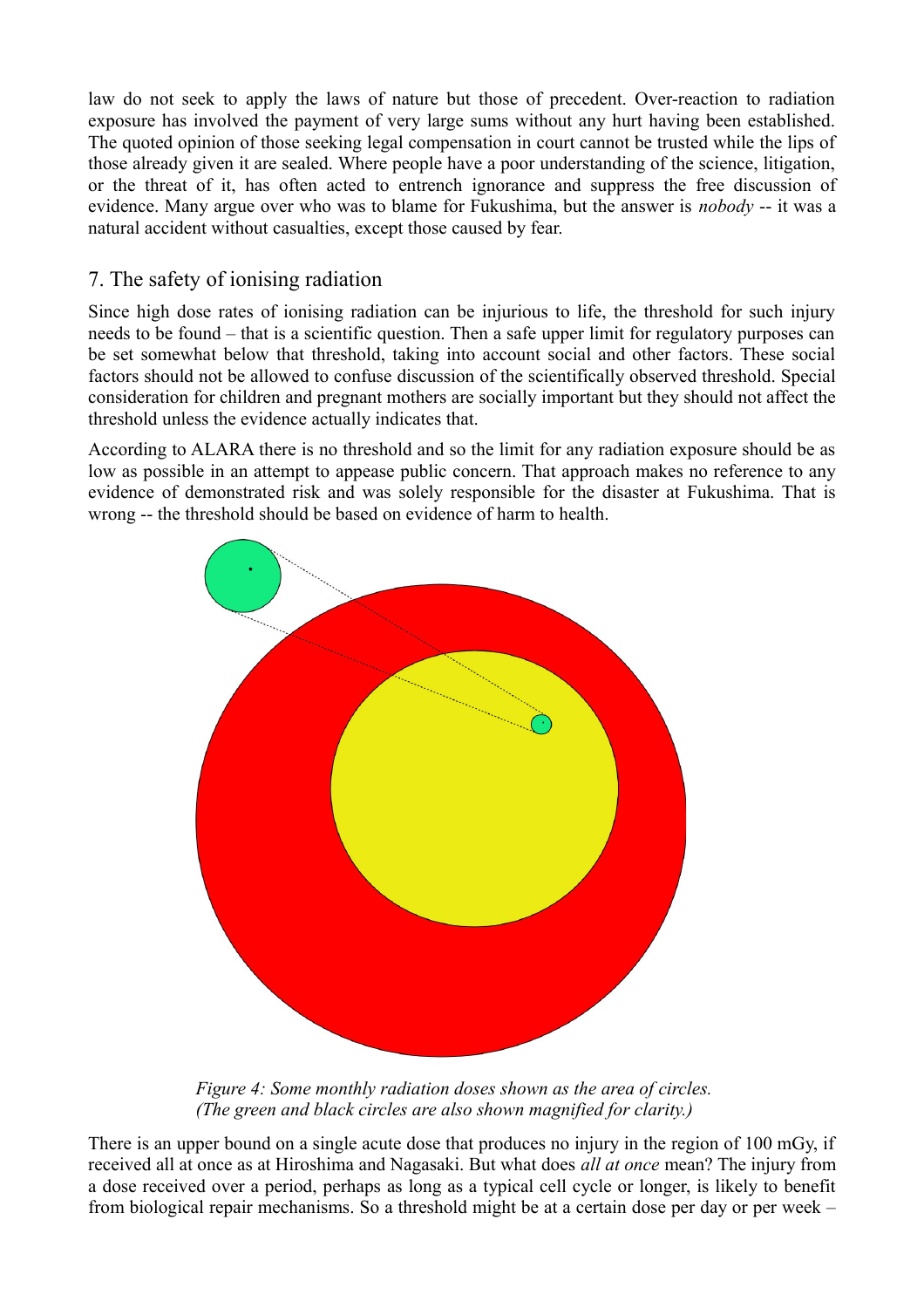law do not seek to apply the laws of nature but those of precedent. Over-reaction to radiation exposure has involved the payment of very large sums without any hurt having been established. The quoted opinion of those seeking legal compensation in court cannot be trusted while the lips of those already given it are sealed. Where people have a poor understanding of the science, litigation, or the threat of it, has often acted to entrench ignorance and suppress the free discussion of evidence. Many argue over who was to blame for Fukushima, but the answer is *nobody* -- it was a natural accident without casualties, except those caused by fear.

## 7. The safety of ionising radiation

Since high dose rates of ionising radiation can be injurious to life, the threshold for such injury needs to be found – that is a scientific question. Then a safe upper limit for regulatory purposes can be set somewhat below that threshold, taking into account social and other factors. These social factors should not be allowed to confuse discussion of the scientifically observed threshold. Special consideration for children and pregnant mothers are socially important but they should not affect the threshold unless the evidence actually indicates that.

According to ALARA there is no threshold and so the limit for any radiation exposure should be as low as possible in an attempt to appease public concern. That approach makes no reference to any evidence of demonstrated risk and was solely responsible for the disaster at Fukushima. That is wrong -- the threshold should be based on evidence of harm to health.



*Figure 4: Some monthly radiation doses shown as the area of circles. (The green and black circles are also shown magnified for clarity.)*

There is an upper bound on a single acute dose that produces no injury in the region of 100 mGy, if received all at once as at Hiroshima and Nagasaki. But what does *all at once* mean? The injury from a dose received over a period, perhaps as long as a typical cell cycle or longer, is likely to benefit from biological repair mechanisms. So a threshold might be at a certain dose per day or per week –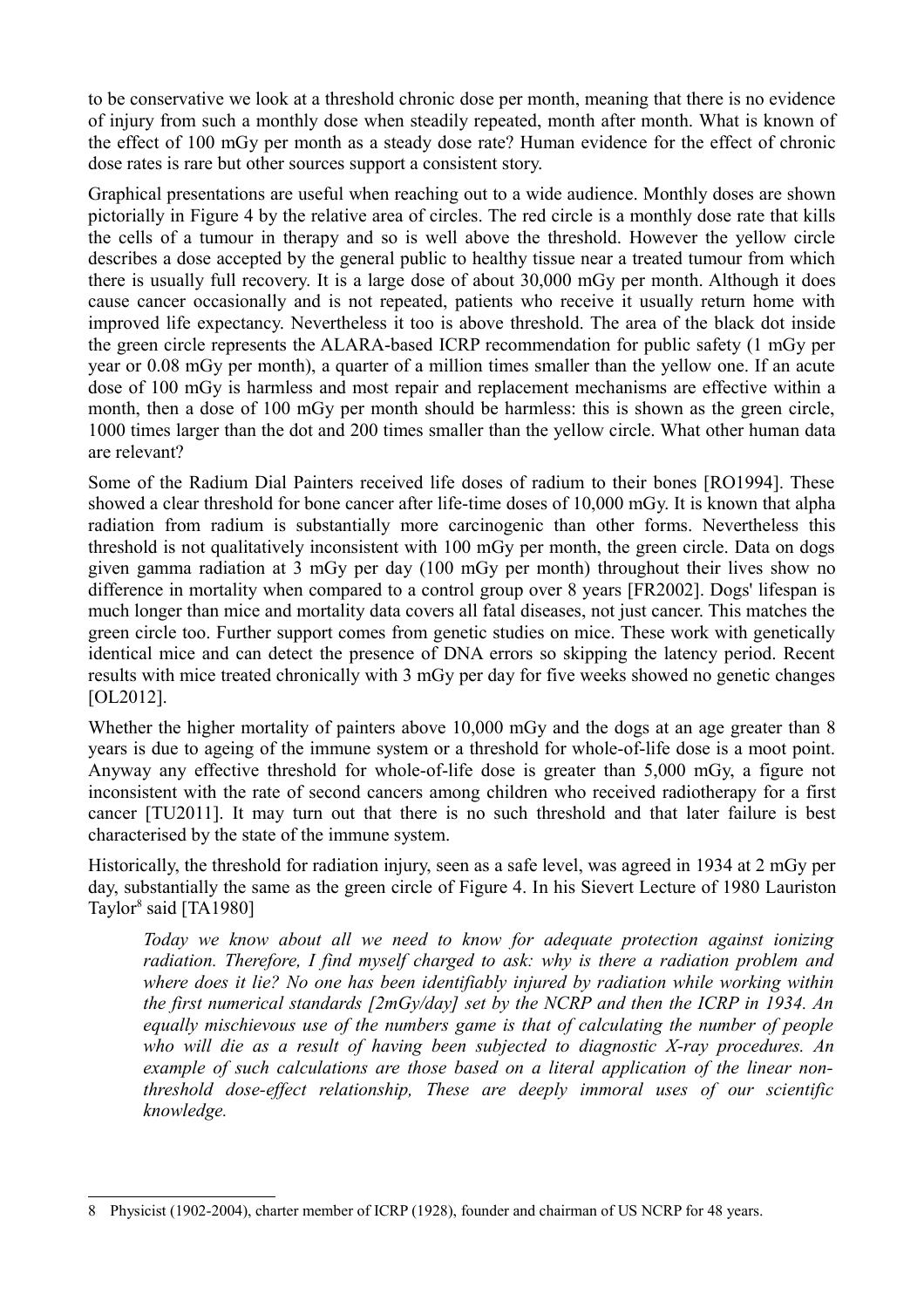to be conservative we look at a threshold chronic dose per month, meaning that there is no evidence of injury from such a monthly dose when steadily repeated, month after month. What is known of the effect of 100 mGy per month as a steady dose rate? Human evidence for the effect of chronic dose rates is rare but other sources support a consistent story.

Graphical presentations are useful when reaching out to a wide audience. Monthly doses are shown pictorially in Figure 4 by the relative area of circles. The red circle is a monthly dose rate that kills the cells of a tumour in therapy and so is well above the threshold. However the yellow circle describes a dose accepted by the general public to healthy tissue near a treated tumour from which there is usually full recovery. It is a large dose of about 30,000 mGy per month. Although it does cause cancer occasionally and is not repeated, patients who receive it usually return home with improved life expectancy. Nevertheless it too is above threshold. The area of the black dot inside the green circle represents the ALARA-based ICRP recommendation for public safety (1 mGy per year or 0.08 mGy per month), a quarter of a million times smaller than the yellow one. If an acute dose of 100 mGy is harmless and most repair and replacement mechanisms are effective within a month, then a dose of 100 mGy per month should be harmless: this is shown as the green circle, 1000 times larger than the dot and 200 times smaller than the yellow circle. What other human data are relevant?

Some of the Radium Dial Painters received life doses of radium to their bones [RO1994]. These showed a clear threshold for bone cancer after life-time doses of 10,000 mGy. It is known that alpha radiation from radium is substantially more carcinogenic than other forms. Nevertheless this threshold is not qualitatively inconsistent with 100 mGy per month, the green circle. Data on dogs given gamma radiation at 3 mGy per day (100 mGy per month) throughout their lives show no difference in mortality when compared to a control group over 8 years [FR2002]. Dogs' lifespan is much longer than mice and mortality data covers all fatal diseases, not just cancer. This matches the green circle too. Further support comes from genetic studies on mice. These work with genetically identical mice and can detect the presence of DNA errors so skipping the latency period. Recent results with mice treated chronically with 3 mGy per day for five weeks showed no genetic changes [OL2012].

Whether the higher mortality of painters above 10,000 mGy and the dogs at an age greater than 8 years is due to ageing of the immune system or a threshold for whole-of-life dose is a moot point. Anyway any effective threshold for whole-of-life dose is greater than 5,000 mGy, a figure not inconsistent with the rate of second cancers among children who received radiotherapy for a first cancer [TU2011]. It may turn out that there is no such threshold and that later failure is best characterised by the state of the immune system.

Historically, the threshold for radiation injury, seen as a safe level, was agreed in 1934 at 2 mGy per day, substantially the same as the green circle of Figure 4. In his Sievert Lecture of 1980 Lauriston Taylor<sup>[8](#page-10-0)</sup> said [TA1980]

*Today we know about all we need to know for adequate protection against ionizing radiation. Therefore, I find myself charged to ask: why is there a radiation problem and where does it lie? No one has been identifiably injured by radiation while working within the first numerical standards [2mGy/day] set by the NCRP and then the ICRP in 1934. An equally mischievous use of the numbers game is that of calculating the number of people who will die as a result of having been subjected to diagnostic X-ray procedures. An example of such calculations are those based on a literal application of the linear nonthreshold dose-effect relationship, These are deeply immoral uses of our scientific knowledge.*

<span id="page-10-0"></span><sup>8</sup> Physicist (1902-2004), charter member of ICRP (1928), founder and chairman of US NCRP for 48 years.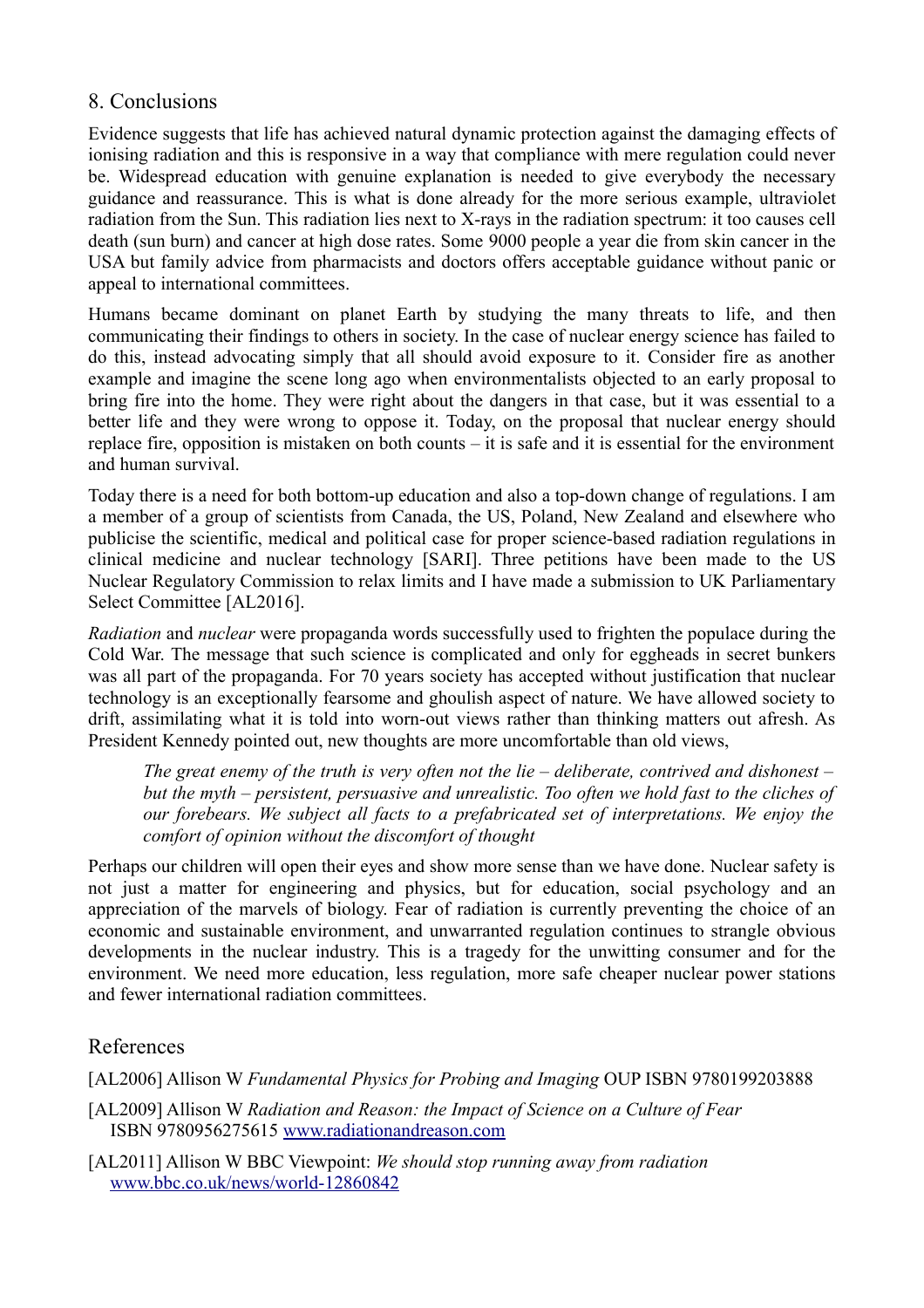## 8. Conclusions

Evidence suggests that life has achieved natural dynamic protection against the damaging effects of ionising radiation and this is responsive in a way that compliance with mere regulation could never be. Widespread education with genuine explanation is needed to give everybody the necessary guidance and reassurance. This is what is done already for the more serious example, ultraviolet radiation from the Sun. This radiation lies next to X-rays in the radiation spectrum: it too causes cell death (sun burn) and cancer at high dose rates. Some 9000 people a year die from skin cancer in the USA but family advice from pharmacists and doctors offers acceptable guidance without panic or appeal to international committees.

Humans became dominant on planet Earth by studying the many threats to life, and then communicating their findings to others in society. In the case of nuclear energy science has failed to do this, instead advocating simply that all should avoid exposure to it. Consider fire as another example and imagine the scene long ago when environmentalists objected to an early proposal to bring fire into the home. They were right about the dangers in that case, but it was essential to a better life and they were wrong to oppose it. Today, on the proposal that nuclear energy should replace fire, opposition is mistaken on both counts – it is safe and it is essential for the environment and human survival.

Today there is a need for both bottom-up education and also a top-down change of regulations. I am a member of a group of scientists from Canada, the US, Poland, New Zealand and elsewhere who publicise the scientific, medical and political case for proper science-based radiation regulations in clinical medicine and nuclear technology [SARI]. Three petitions have been made to the US Nuclear Regulatory Commission to relax limits and I have made a submission to UK Parliamentary Select Committee [AL2016].

*Radiation* and *nuclear* were propaganda words successfully used to frighten the populace during the Cold War. The message that such science is complicated and only for eggheads in secret bunkers was all part of the propaganda. For 70 years society has accepted without justification that nuclear technology is an exceptionally fearsome and ghoulish aspect of nature. We have allowed society to drift, assimilating what it is told into worn-out views rather than thinking matters out afresh. As President Kennedy pointed out, new thoughts are more uncomfortable than old views,

*The great enemy of the truth is very often not the lie – deliberate, contrived and dishonest – but the myth – persistent, persuasive and unrealistic. Too often we hold fast to the cliches of our forebears. We subject all facts to a prefabricated set of interpretations. We enjoy the comfort of opinion without the discomfort of thought*

Perhaps our children will open their eyes and show more sense than we have done. Nuclear safety is not just a matter for engineering and physics, but for education, social psychology and an appreciation of the marvels of biology. Fear of radiation is currently preventing the choice of an economic and sustainable environment, and unwarranted regulation continues to strangle obvious developments in the nuclear industry. This is a tragedy for the unwitting consumer and for the environment. We need more education, less regulation, more safe cheaper nuclear power stations and fewer international radiation committees.

## References

[AL2006] Allison W *Fundamental Physics for Probing and Imaging* OUP ISBN 9780199203888

[AL2009] Allison W *Radiation and Reason: the Impact of Science on a Culture of Fear* ISBN 9780956275615 [www.radiationandreason.com](http://www.radiationandreason.com/)

[AL2011] Allison W BBC Viewpoint: *We should stop running away from radiation* [www.bbc.co.uk/news/world-12860842](http://www.bbc.co.uk/news/world-12860842)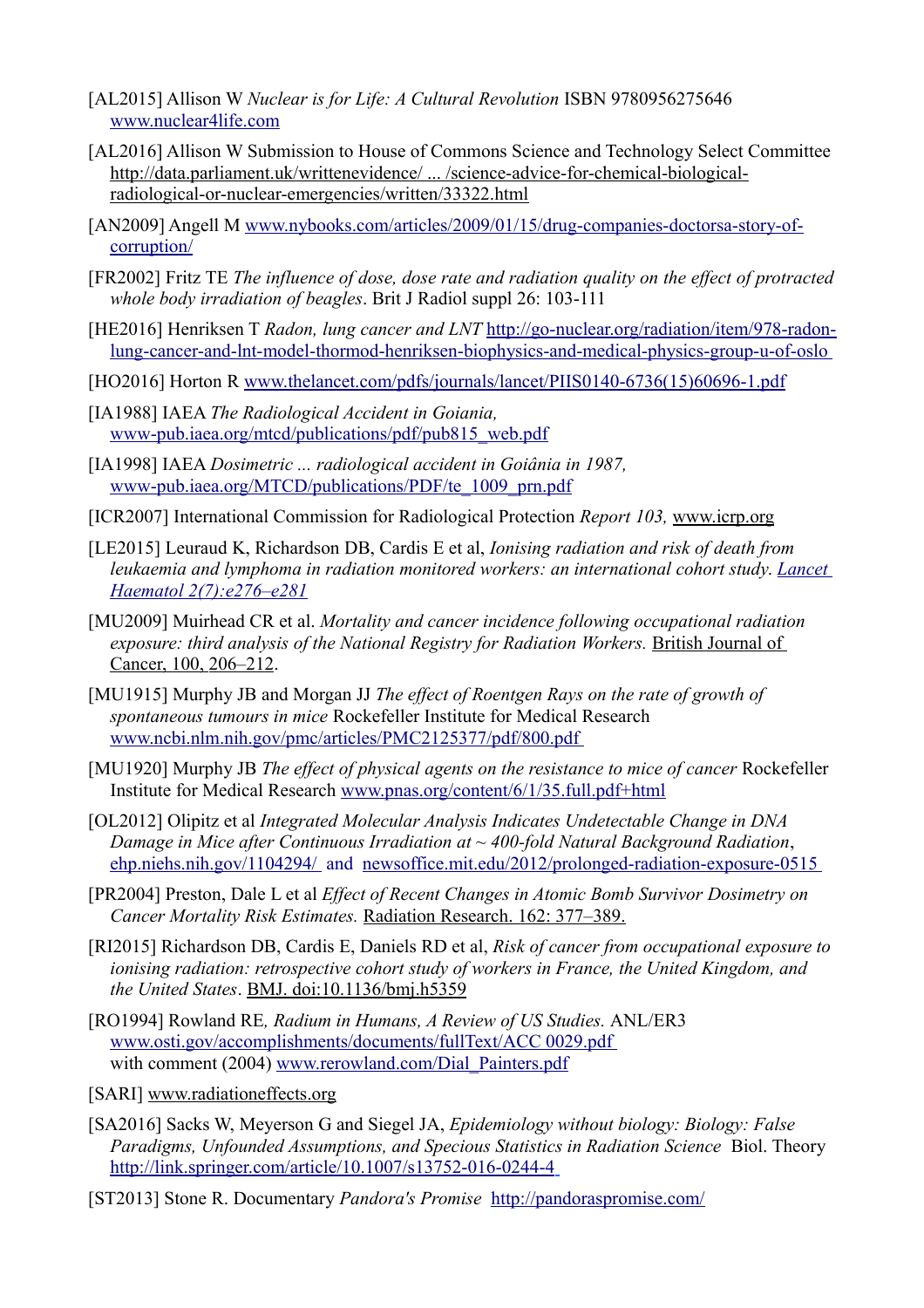- [AL2015] Allison W *Nuclear is for Life: A Cultural Revolution* ISBN 9780956275646 [www.nuclear4life.com](http://www.nuclear4life.com/)
- [AL2016] Allison W Submission to House of Commons Science and Technology Select Committee [http://data.parliament.uk/writtenevidence/ ... /science-advice-for-chemical-biological](http://data.parliament.uk/writtenevidence/committeeevidence.svc/evidencedocument/science-and-technology-committee/science-advice-for-chemical-biological-radiological-or-nuclear-emergencies/written/33322.html)[radiological-or-nuclear-emergencies/written/33322.html](http://data.parliament.uk/writtenevidence/committeeevidence.svc/evidencedocument/science-and-technology-committee/science-advice-for-chemical-biological-radiological-or-nuclear-emergencies/written/33322.html)
- [AN2009] Angell M [www.nybooks.com/articles/2009/01/15/drug-companies-doctorsa-story-of](http://www.nybooks.com/articles/2009/01/15/drug-companies-doctorsa-story-of-corruption/)[corruption/](http://www.nybooks.com/articles/2009/01/15/drug-companies-doctorsa-story-of-corruption/)
- [FR2002] Fritz TE *The influence of dose, dose rate and radiation quality on the effect of protracted whole body irradiation of beagles*. Brit J Radiol suppl 26: 103-111
- [HE2016] Henriksen T *Radon, lung cancer and LNT* [http://go-nuclear.org/radiation/item/978-radon](http://go-nuclear.org/radiation/item/978-radon-lung-cancer-and-lnt-model-thormod-henriksen-biophysics-and-medical-physics-group-u-of-oslo%20)[lung-cancer-and-lnt-model-thormod-henriksen-biophysics-and-medical-physics-group-u-of-oslo](http://go-nuclear.org/radiation/item/978-radon-lung-cancer-and-lnt-model-thormod-henriksen-biophysics-and-medical-physics-group-u-of-oslo%20)
- [HO2016] Horton R [www.thelancet.com/pdfs/journals/lancet/PIIS0140-6736\(15\)60696-1.pdf](http://www.thelancet.com/pdfs/journals/lancet/PIIS0140-6736(15)60696-1.pdf)
- [IA1988] IAEA *The Radiological Accident in Goiania,*  [www-pub.iaea.org/mtcd/publications/pdf/pub815\\_web.pdf](http://www-pub.iaea.org/mtcd/publications/pdf/pub815_web.pdf)
- [IA1998] IAEA *Dosimetric ... radiological accident in Goiânia in 1987,* [www-pub.iaea.org/MTCD/publications/PDF/te\\_1009\\_prn.pdf](http://www-pub.iaea.org/MTCD/publications/PDF/te_1009_prn.pdf)
- [ICR2007] International Commission for Radiological Protection *Report 103,* [www.icrp.org](http://www.icrp.org/)
- [LE2015] Leuraud K, Richardson DB, Cardis E et al, *Ionising radiation and risk of death from leukaemia and lymphoma in radiation monitored workers: an international cohort study*. *[Lancet](http://www.thelancet.com/journals/lanhae/article/PIIS2352-3026(15)00094-0/abstract)  [Haematol 2\(7\):e276–e281](http://www.thelancet.com/journals/lanhae/article/PIIS2352-3026(15)00094-0/abstract)*
- [MU2009] Muirhead CR et al. *Mortality and cancer incidence following occupational radiation exposure: third analysis of the National Registry for Radiation Workers. British Journal of*  [Cancer, 100, 206–212.](http://www.nature.com/bjc/journal/v100/n1/abs/6604825a.html)
- [MU1915] Murphy JB and Morgan JJ *The effect of Roentgen Rays on the rate of growth of spontaneous tumours in mice* Rockefeller Institute for Medical Research  [www.ncbi.nlm.nih.gov/pmc/articles/PMC2125377/pdf/800.pdf](http://www.ncbi.nlm.nih.gov/pmc/articles/PMC2125377/pdf/800.pdf)
- [MU1920] Murphy JB *The effect of physical agents on the resistance to mice of cancer* Rockefeller Institute for Medical Research [www.pnas.org/content/6/1/35.full.pdf+html](http://www.pnas.org/content/6/1/35.full.pdf+html)
- [OL2012] Olipitz et al *Integrated Molecular Analysis Indicates Undetectable Change in DNA Damage in Mice after Continuous Irradiation at ~ 400-fold Natural Background Radiation*, [ehp.niehs.nih.gov/1104294/](http://ehp.niehs.nih.gov/1104294/%20) and [newsoffice.mit.edu/2012/prolonged-radiation-exposure-0515](http://newsoffice.mit.edu/2012/prolonged-radiation-exposure-0515%20)
- [PR2004] Preston, Dale L et al *Effect of Recent Changes in Atomic Bomb Survivor Dosimetry on Cancer Mortality Risk Estimates.* [Radiation Research. 162: 377–389.](http://www.rrjournal.org/doi/abs/10.1667/RR3232?journalCode=rare)
- [RI2015] Richardson DB, Cardis E, Daniels RD et al, *Risk of cancer from occupational exposure to ionising radiation: retrospective cohort study of workers in France, the United Kingdom, and the United States*. [BMJ. doi:10.1136/bmj.h5359](http://www.bmj.com/content/351/bmj.h5359)
- [RO1994] Rowland RE*, Radium in Humans, A Review of US Studies.* ANL/ER3 [www.osti.gov/accomplishments/documents/fullText/ACC 0029.pdf](http://www.osti.gov/accomplishments/documents/fullText/ACC%200029.pdf%20)  with comment (2004) [www.rerowland.com/Dial\\_Painters.pdf](http://www.rerowland.com/Dial_Painters.pdf)
- [SARI] [www.radiationeffects.org](http://www.radiationeffects.org/)
- [SA2016] Sacks W, Meyerson G and Siegel JA, *Epidemiology without biology: Biology: False Paradigms, Unfounded Assumptions, and Specious Statistics in Radiation Science* Biol. Theory <http://link.springer.com/article/10.1007/s13752-016-0244-4>
- [ST2013] Stone R. Documentary *Pandora's Promise* <http://pandoraspromise.com/>